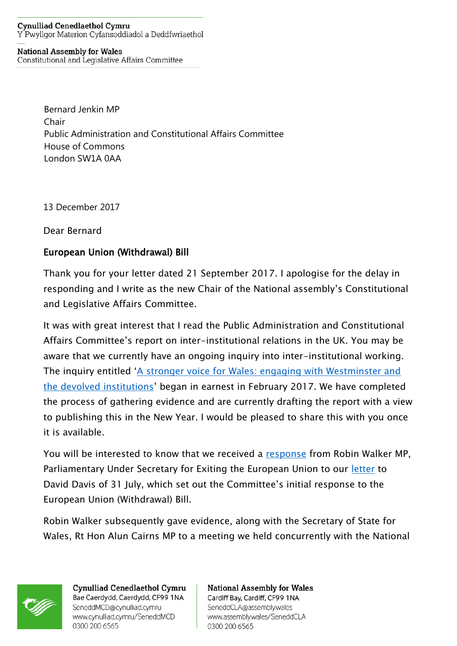## **Cynulliad Cenedlaethol Cymru** Y Pwyllgor Materion Cyfansoddiadol a Deddfwriaethol

## **National Assembly for Wales**

Constitutional and Legislative Affairs Committee

Bernard Jenkin MP Chair Public Administration and Constitutional Affairs Committee House of Commons London SW1A 0AA

13 December 2017

Dear Bernard

## European Union (Withdrawal) Bill

Thank you for your letter dated 21 September 2017. I apologise for the delay in responding and I write as the new Chair of the National assembly's Constitutional and Legislative Affairs Committee.

It was with great interest that I read the Public Administration and Constitutional Affairs Committee's report on inter-institutional relations in the UK. You may be aware that we currently have an ongoing inquiry into inter-institutional working. The inquiry entitled '[A stronger voice for Wales: engaging with Westminster and](http://senedd.assembly.wales/mgIssueHistoryHome.aspx?IId=16613)  [the devolved institutions](http://senedd.assembly.wales/mgIssueHistoryHome.aspx?IId=16613)' began in earnest in February 2017. We have completed the process of gathering evidence and are currently drafting the report with a view to publishing this in the New Year. I would be pleased to share this with you once it is available.

You will be interested to know that we received a [response](http://senedd.assembly.wales/documents/s68220/PTN%203a.pdf) from Robin Walker MP, Parliamentary Under Secretary for Exiting the European Union to our [letter](http://senedd.assembly.wales/documents/s68221/PTN%203b.pdf) to David Davis of 31 July, which set out the Committee's initial response to the European Union (Withdrawal) Bill.

Robin Walker subsequently gave evidence, along with the Secretary of State for Wales, Rt Hon Alun Cairns MP to a meeting we held concurrently with the National



Cynulliad Cenedlaethol Cymru Bae Caerdydd, Caerdydd, CF99 1NA SeneddMCD@cynulliad.cymru www.cynulliad.cymru/SeneddMCD 0300 200 6565

**National Assembly for Wales** Cardiff Bay, Cardiff, CF99 1NA SeneddCLA@assembly.wales www.assembly.wales/SeneddCLA 0300 200 6565